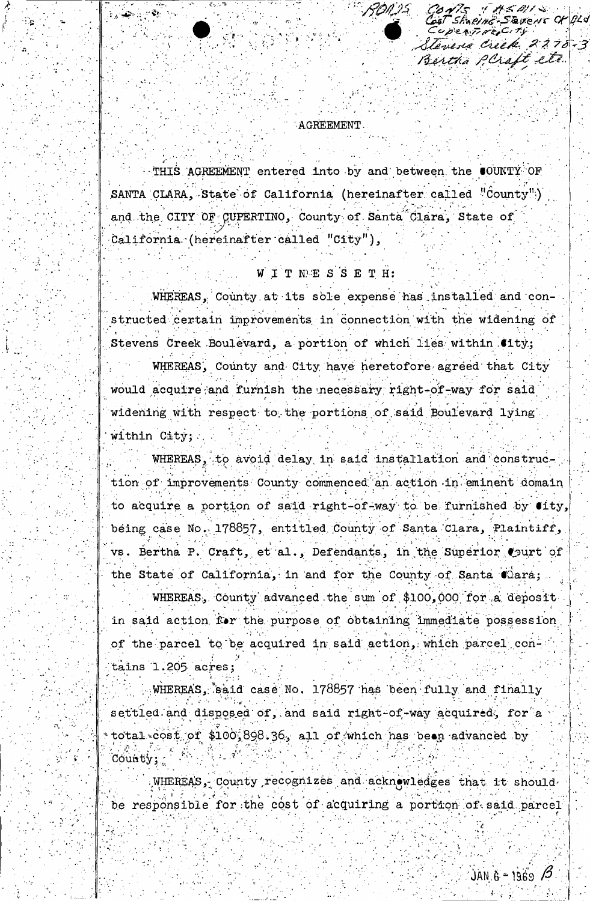Event CHBLd is Creek. 2270-3 Bertha PCraft etc.

# **AGREEMENT**

 $\sim$  Ne

RON. 25.

THIS AGREEMENT entered into by and between the COUNTY OF SANTA CLARA, State of California (hereinafter called "County") and the CITY OF CUPERTINO, County of Santa Clara, State of California (hereinafter called "City"),

# WITNESSETH:

WHEREAS, County at its sole expense has installed and constructed certain improvements in connection with the widening of Stevens Creek Boulevard, a portion of which lies within City; WHEREAS, County and City have heretofore agreed that City would acquire and furnish the necessary right-of-way for said widening with respect to the portions of said Boulevard lying within City;

WHEREAS, to avoid delay in said installation and construction of improvements County commenced an action in eminent domain to acquire a portion of said right-of-way to be furnished by  $\bullet$ ity, being case No. 178857, entitled County of Santa Clara, Plaintiff, rs. Bertha P. Craft, et al., Defendants, in the Superior Court of the State of California, in and for the County of Santa Cara;

WHEREAS, County advanced the sum of \$100,000 for a deposit in said action for the purpose of obtaining immediate possession of the parcel to be acquired in said action, which parcel contains 1.205 acres;

WHEREAS, said case No. 178857 has been fully and finally settled and disposed of, and said right-of-way acquired, for a total cost of \$100,898.36, all of which has been advanced by County;

WHEREAS, County recognizes and acknowledges that it should be responsible for the cost of acquiring a portion of said parcel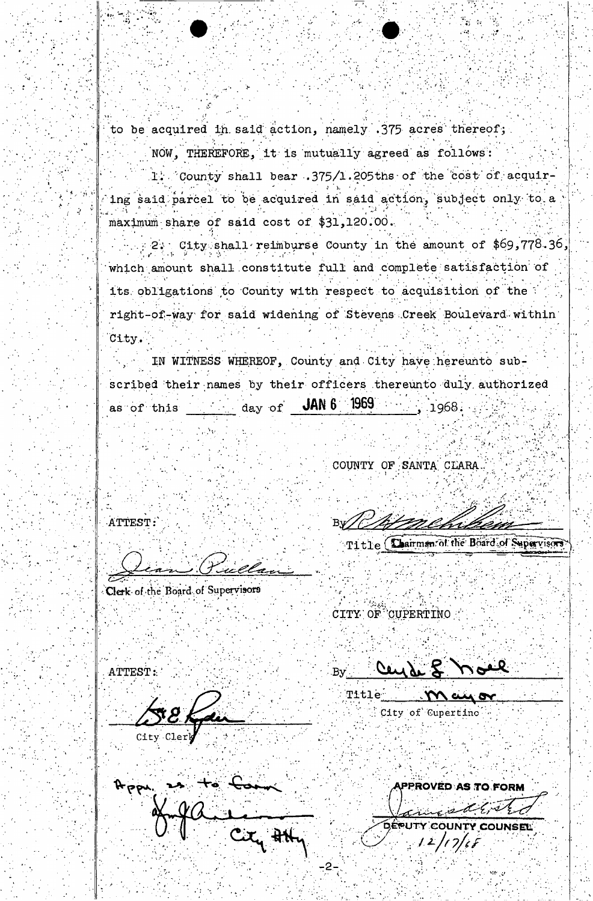to be acquired in said action, namely .375 acres thereof;

NOW, THEREFORE, it is mutually agreed as follows:

1. County shall bear .375/1.205ths of the cost of acquiring said parcel to be acquired in said action, subject only to a maximum share of said cost of \$31,120.00.

City shall reimburse County in the amount of \$69,778.36, which amount shall constitute full and complete satisfaction of its obligations to County with respect to acquisition of the right-of-way for said widening of Stevens Creek Boulevard within City.

IN WITNESS WHEREOF, County and City have hereunto subscribed their names by their officers thereunto duly authorized as of this \_\_\_\_\_\_\_\_\_ day of **JAN6** 1969  $, 1968.$ 

COUNTY OF SANTA CLARA

ATTEST:

Clerk of the Board of Supervisors

Title (Dairman of the Board of Supervisors

CITY OF CUPERTINO

ATTEST:

 $By$  Cey de  $Z$ **Title** 

City of Cupertino

PPROVED AS TO FORM **DÉPUTY COUN**  $12/17/6$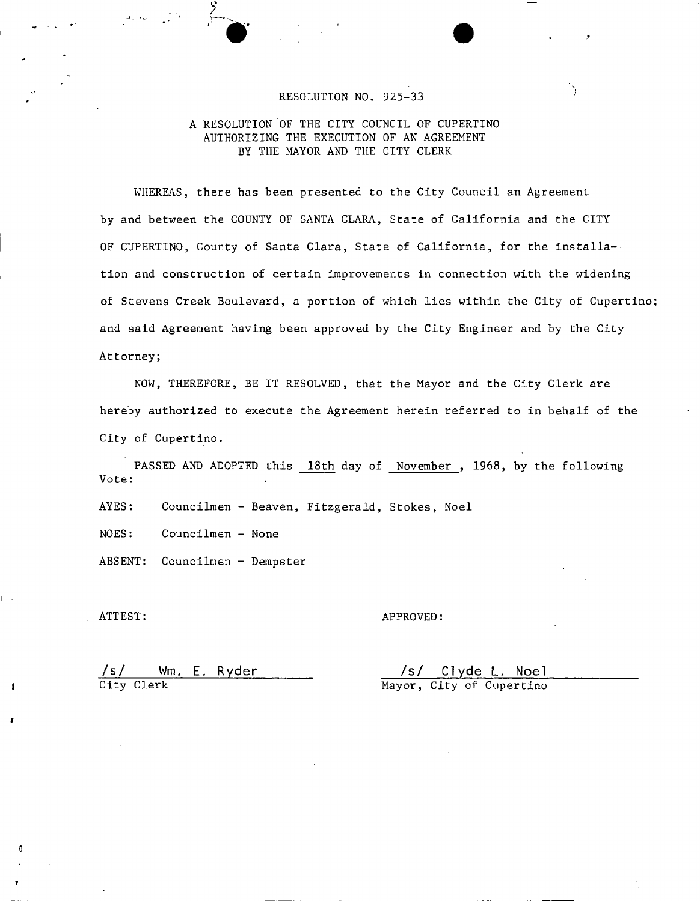### RESOLUTION NO. 925-33

### A RESOLUTION OF THE CITY COUNCIL OF CUPERTINO AUTHORIZING THE EXECUTION OF AN AGREEMENT BY THE MAYOR AND THE CITY CLERK

WHEREAS, there has been presented to the City Council an Agreement by and between the COUNTY OF SANTA CLARA, State of California and the CITY OF CUPERTINO, County of Santa Clara, State of California, for the installation and construction of certain improvements in connection with the widening of Stevens Creek Boulevard, a portion of which lies within the City of Cupertino and said Agreement having been approved by the City Engineer and by the City Attorney;

NOW, THEREFORE, BE IT RESOLVED, that the Mayor and the City Clerk are hereby authorized to execute the Agreement herein referred to in behalf of the City of Cupertino.

PASSED AND ADOPTED this 18th day of November, 1968, by the following Vote:

AYES: Councilmen - Beaven, Fitzgerald, Stokes, Noel

NOES: Councilmen - None

ABSENT: Councilmen - Dempster

/

ATTEST: APPROVED:

/s/ Wm. E. Ryder /s/ Clyde L, Noel City Clerk Mayor, City of Cupertino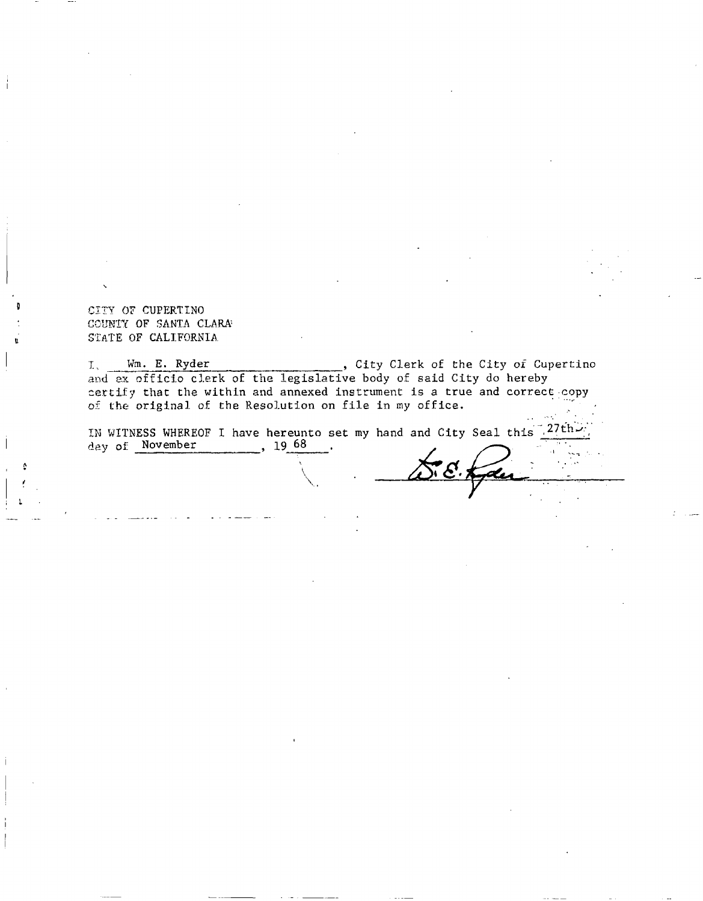CITY OF CUPERTINO COUNTY OF SANTA CLARA STATE OF CALIFORNIA.

Wm. E. Ryder , City Clerk of the City of Cupertino  $\mathbf{I}_{\infty}$ and ax officio clerk of the legislative body of said City do hereby certify that the within and annexed instrument is a true and correct copy of the original of the Resolution on file in my office.

IN WITNESS WHEREOF I have hereunto set my hand and City Seal this  $27th$ day of November , 19 68

> $\setminus$  $\sum_{i=1}^n \alpha_i$

L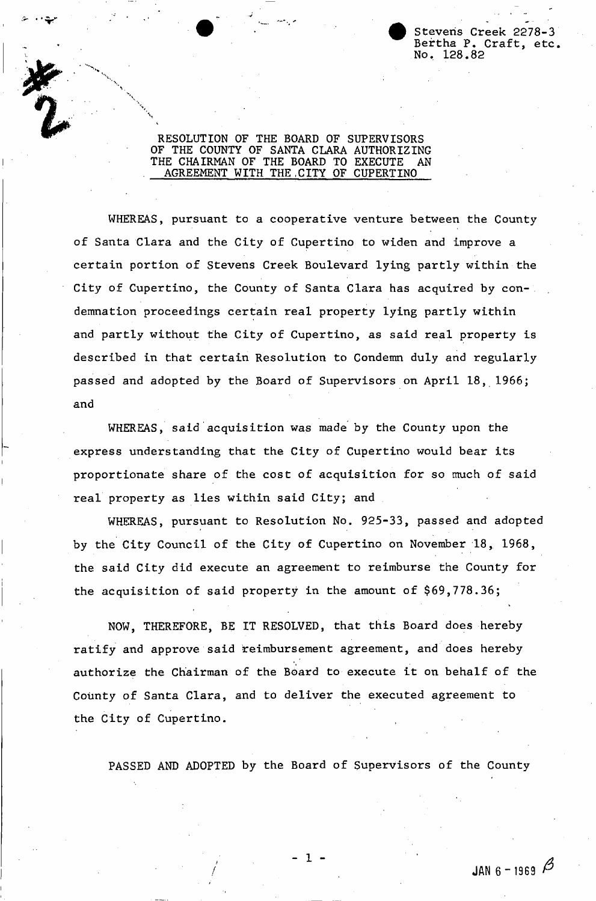Stevens Creek 2278-3 Bertha P. Craft, etc. No. 128•82

## RESOLUTION OF THE BOARD OF SUPERVISORS OF THE COUNTY OF SANTA CLARA AUTHORIZING THE CHAIRMAN OF THE BOARD TO EXECUTE AN AGREEMENT WITH THE.CITY OF CUPERTINO

v

WHEREAS, pursuant to a cooperative venture between the County of Santa Clara and the City of Cupertino to widen and improve a certain portion of Stevens Creek Boulevard lying partly within the City of Cupertino, the County of Santa Clara has acquired by conand partly without the City of Cupertino, as said real property is described in that certain Resolution to Condemn duly and regularly passed and adopted by the Board of Supervisors on April 18, 1966; and demnation proceedings certain real property lying partly within

WHEREAS, said acquisition was made by the County upon the express understanding that the City of Cupertino would bear its proportionate share of the cost of acquisition for so much of said real property as lies within said City; and

WHEREAS, pursuant to Resolution No. 925-33, passed and adopted by the City Council of the City of Cupertino on November 18, 1968, the said City did execute an agreement to reimburse the County for the acquisition of said property in the amount of \$69,778.36;

NOW, THEREFORE, BE IT RESOLVED, that this Board does hereby ratify and approve said reimbursement agreement, and does hereby authorize the Chairman of the Board to execute it on behalf of the County of Santa Clara, and to deliver the executed agreement to the City of Cupertino.

PASSED AND ADOPTED by the Board of Supervisors of the County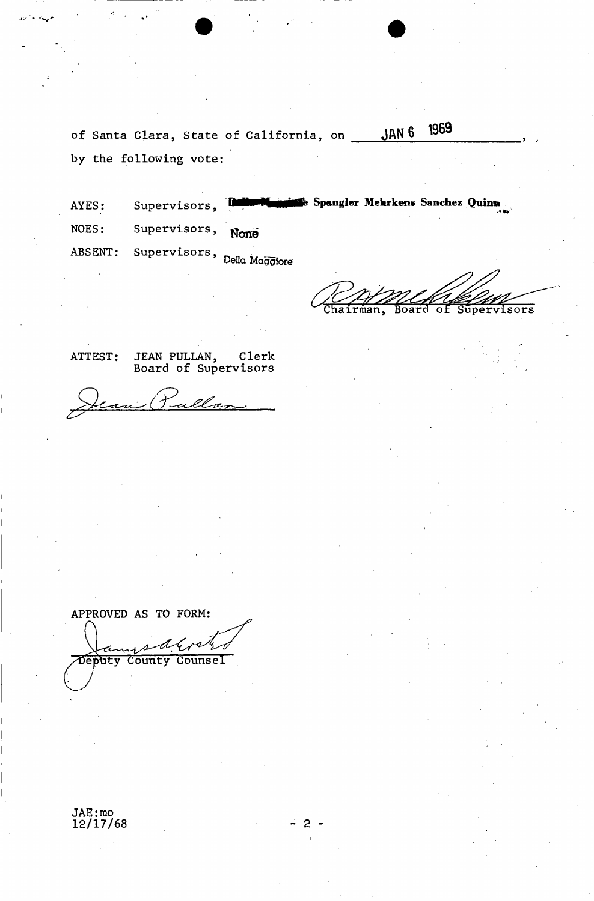of Santa Clara, State of California, on JAN 6 1969 by the following vote:

AYES: Supervisors, NOES: Supervisors, None ABSENT: Supervisors, **Delia Maggiore** 

1

Chairman, Board of Supervisors

**Maggins**e Spangler Mehrkens Sanchez Quinn

ATTEST: JEAN PULLAN, Clerk Board of Supervisors

ulla

APPROVED AS TO FORM: Counsel County Deputy

JAE: mo 12/17/68 **- 2 -**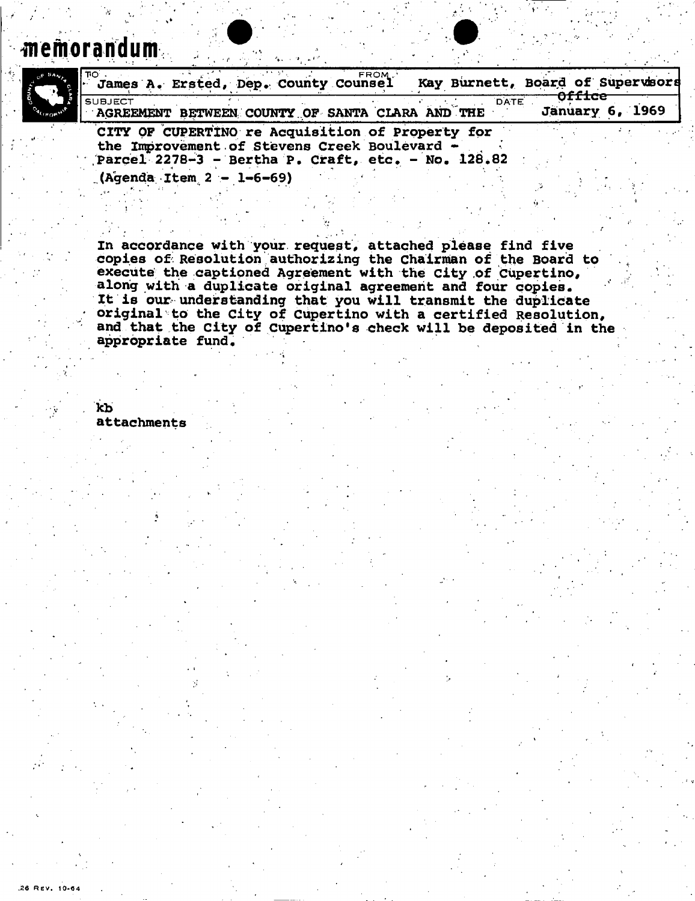**Memorandum** 



| ֹסπ !<br>  James A. Ersted, Dep. County Counsel                                                  |  | FROM. |             |        | Kay Burnett, Board of Supervsors |
|--------------------------------------------------------------------------------------------------|--|-------|-------------|--------|----------------------------------|
| I SUBJECT.<br>AGREEMENT BETWEEN COUNTY OF SANTA CLARA AND THE                                    |  |       | <b>DATE</b> | orrrce | <b>January 6, 1969</b>           |
| CITY OF CUPERTINO re Acquisition of Property for<br>the Improvement of Stevens Creek Boulevard - |  |       |             |        |                                  |

**Parcel 2278-3 - Bertha P. Craft, etc, - No, 128.82** 

**(Agenda Item 2 - 1-6-69)** 

**In accordance with your request, attached please find five copies of Resolution authorizing the Chairman of the Boarid to**  execute the captioned Agreement with the City of Cupertino, **along with a duplicate original agreement and four copies, it is our understanding that you will transmit the duplicate original to the City of Cupertino with a certified Resolution, and that the City of Cupertino's check will be deposited in the appropriate fund. -**

**kb** 

.26 REV. 10-64

**attachments**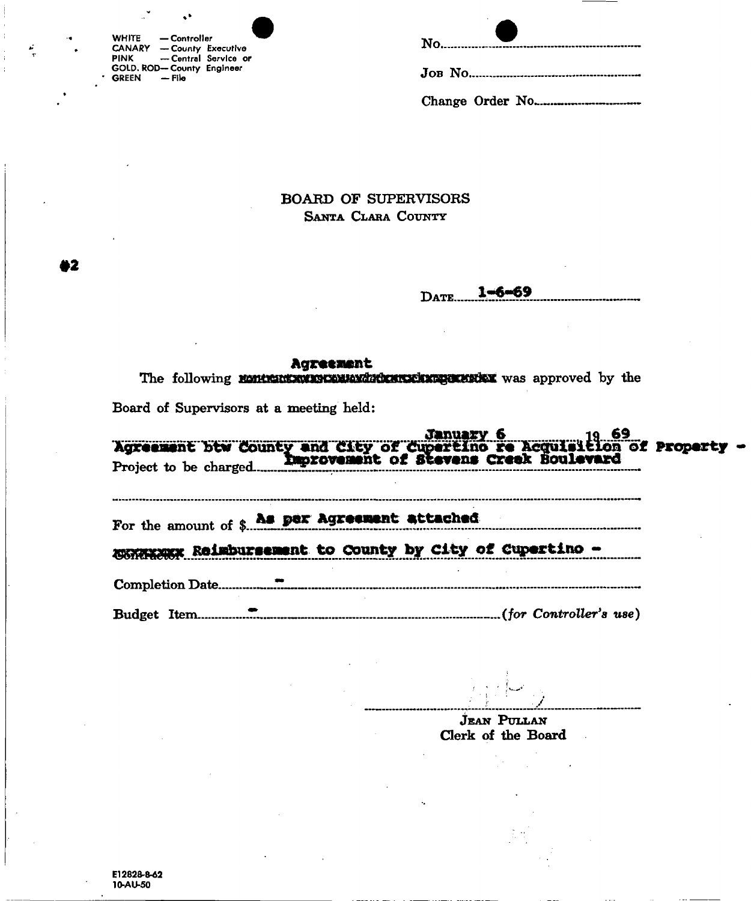| <b>WHITE</b> | — Controller                     |                       |
|--------------|----------------------------------|-----------------------|
|              | <b>CANARY - County Executive</b> |                       |
| <b>PINK</b>  |                                  | -- Central Service or |
|              | GOLD. ROD-County Engineer        |                       |
| <b>GREEN</b> | — File                           |                       |

|  | $N$ <sub>0</sub> |
|--|------------------|
|  |                  |
|  |                  |

**BOARD OF SUPERVISORS** SANTA CLARA COUNTY

 $1 - 6 - 69$ DATE.

### Agreement

The following nontranson as contract to the state of the state of the state of the state of the

Board of Supervisors at a meeting held:

| For the amount of \$ has per Agreement attached         |  |
|---------------------------------------------------------|--|
| MARKERSK Reimbursement to County by City of Cupertino - |  |
|                                                         |  |
|                                                         |  |
|                                                         |  |

**JEAN PULLAN** Clerk of the Board